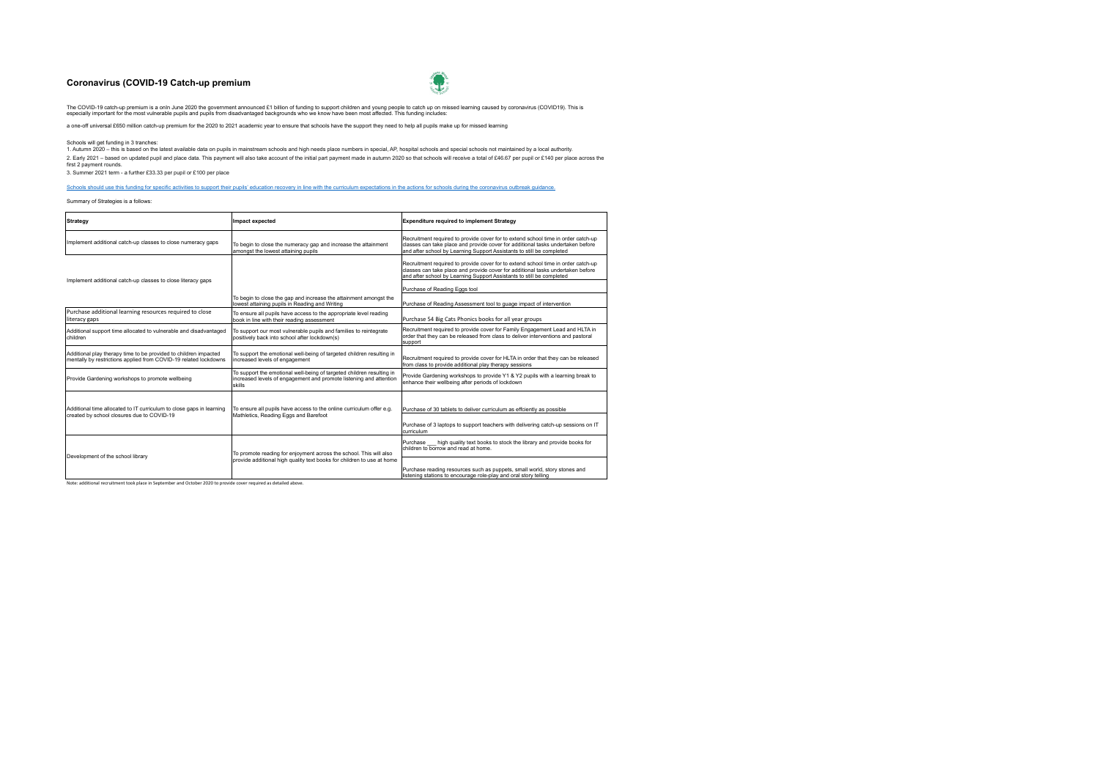## **Coronavirus (COVID-19 Catch-up premium**



The COVID-19 catch-up premium is a onln June 2020 the government announced £1 billion of funding to support children and young people to catch up on missed learning caused by coronavirus (COVID19). This is<br>especially impor

a one-off universal £650 million catch-up premium for the 2020 to 2021 academic year to ensure that schools have the support they need to help all pupils make up for missed learning

Schools will get funding in 3 tranches:

1. Autumn 2020 – this is based on the latest available data on pupils in mainstream schools and high needs place numbers in special, AP, hospital schools and special schools not maintained by a local authority. 2. Early 2021 – based on updated pupil and place data. This payment will also take account of the initial part payment made in autunn 2020 so that schools will receive a total of £46.67 per pupil or £140 per place across t

3. Summer 2021 term - a further £33.33 per pupil or £100 per place

[Schools should use this funding for specific activities to support their pupils' education recovery in line with the curriculum expectations in the actions for schools during the coronavirus outbreak guidance.](https://www.gov.uk/government/publications/actions-for-schools-during-the-coronavirus-outbreak/guidance-for-full-opening-schools#section-3-curriculum-behaviour-and-pastoral-support)

Summary of Strategies is a follows:

| Strategy                                                                                                                             | Impact expected                                                                                                                                       | <b>Expenditure required to implement Strategy</b>                                                                                                                                                                                             |
|--------------------------------------------------------------------------------------------------------------------------------------|-------------------------------------------------------------------------------------------------------------------------------------------------------|-----------------------------------------------------------------------------------------------------------------------------------------------------------------------------------------------------------------------------------------------|
| Implement additional catch-up classes to close numeracy gaps                                                                         | To begin to close the numeracy gap and increase the attainment<br>amongst the lowest attaining pupils                                                 | Recruitment required to provide cover for to extend school time in order catch-up<br>classes can take place and provide cover for additional tasks undertaken before<br>and after school by Learning Support Assistants to still be completed |
| Implement additional catch-up classes to close literacy gaps                                                                         |                                                                                                                                                       | Recruitment required to provide cover for to extend school time in order catch-up<br>classes can take place and provide cover for additional tasks undertaken before<br>and after school by Learning Support Assistants to still be completed |
|                                                                                                                                      |                                                                                                                                                       | Purchase of Reading Eggs tool                                                                                                                                                                                                                 |
|                                                                                                                                      | To begin to close the gap and increase the attainment amongst the<br>lowest attaining pupils in Reading and Writing                                   | Purchase of Reading Assessment tool to quage impact of intervention                                                                                                                                                                           |
| Purchase additional learning resources required to close<br>literacy gaps                                                            | To ensure all pupils have access to the appropriate level reading<br>book in line with their reading assessment                                       | Purchase 54 Big Cats Phonics books for all year groups                                                                                                                                                                                        |
| Additional support time allocated to vulnerable and disadvantaged<br>children                                                        | To support our most vulnerable pupils and families to reintegrate<br>positively back into school after lockdown(s)                                    | Recruitment required to provide cover for Family Engagement Lead and HLTA in<br>order that they can be released from class to deliver interventions and pastoral<br>support                                                                   |
| Additional play therapy time to be provided to children impacted<br>mentally by restrictions applied from COVID-19 related lockdowns | To support the emotional well-being of targeted children resulting in<br>increased levels of engagement                                               | Recruitment required to provide cover for HLTA in order that they can be released<br>from class to provide additional play therapy sessions                                                                                                   |
| Provide Gardening workshops to promote wellbeing                                                                                     | To support the emotional well-being of targeted children resulting in<br>increased levels of engagement and promote listening and attention<br>skills | Provide Gardening workshops to provide Y1 & Y2 pupils with a learning break to<br>enhance their wellbeing after periods of lockdown                                                                                                           |
| Additional time allocated to IT curriculum to close gaps in learning                                                                 | To ensure all pupils have access to the online curriculum offer e.g.                                                                                  | Purchase of 30 tablets to deliver curriculum as effciently as possible                                                                                                                                                                        |
| created by school closures due to COVID-19                                                                                           | Mathletics, Reading Eggs and Barefoot                                                                                                                 | Purchase of 3 laptops to support teachers with delivering catch-up sessions on IT<br>curriculum                                                                                                                                               |
| Development of the school library                                                                                                    | To promote reading for enjoyment across the school. This will also                                                                                    | Purchase __ high quality text books to stock the library and provide books for<br>children to borrow and read at home.                                                                                                                        |
|                                                                                                                                      | provide additional high quality text books for children to use at home                                                                                | Purchase reading resources such as puppets, small world, story stones and<br>listening stations to encourage role-play and oral story telling                                                                                                 |

Note: additional recruitment took place in September and October 2020 to provide cover required as detailed above.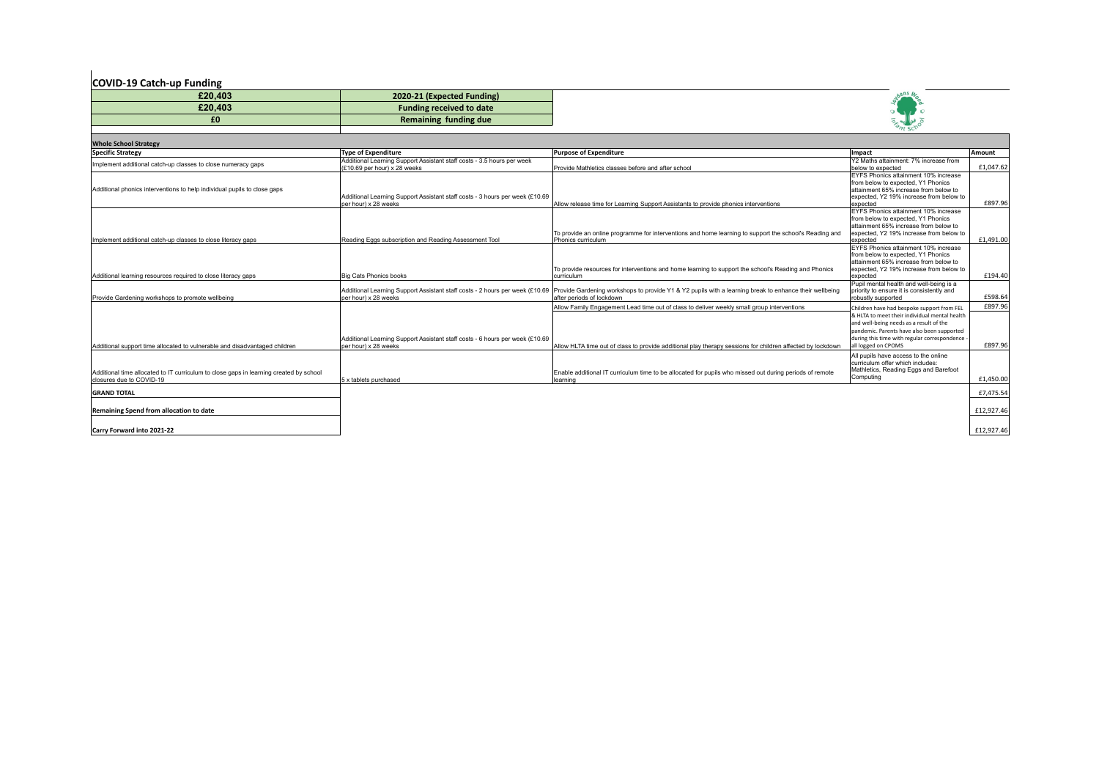## **COVID-19 Catch-up Funding**

| £20,403 | 2020-21 (Expected Funding)      |
|---------|---------------------------------|
| £20,403 | <b>Funding received to date</b> |
| £0      | Remaining funding due           |



| <b>Whole School Strategy</b>                                                                                       |                                                                                                        |                                                                                                                                                                                                                  |                                                                                                                                                                                                                                                             |                    |  |  |  |  |
|--------------------------------------------------------------------------------------------------------------------|--------------------------------------------------------------------------------------------------------|------------------------------------------------------------------------------------------------------------------------------------------------------------------------------------------------------------------|-------------------------------------------------------------------------------------------------------------------------------------------------------------------------------------------------------------------------------------------------------------|--------------------|--|--|--|--|
| <b>Specific Strategy</b>                                                                                           | <b>Type of Expenditure</b>                                                                             | <b>Purpose of Expenditure</b>                                                                                                                                                                                    | Impact                                                                                                                                                                                                                                                      | Amount             |  |  |  |  |
| Implement additional catch-up classes to close numeracy gaps                                                       | Additional Learning Support Assistant staff costs - 3.5 hours per week<br>(£10.69 per hour) x 28 weeks | Provide Mathletics classes before and after school                                                                                                                                                               | Y2 Maths attainment: 7% increase from<br>below to expected                                                                                                                                                                                                  | £1,047.62          |  |  |  |  |
| Additional phonics interventions to help individual pupils to close gaps                                           | Additional Learning Support Assistant staff costs - 3 hours per week (£10.69<br>per hour) x 28 weeks   | Allow release time for Learning Support Assistants to provide phonics interventions                                                                                                                              | EYFS Phonics attainment 10% increase<br>from below to expected. Y1 Phonics<br>lattainment 65% increase from below to<br>lexpected. Y2 19% increase from below to<br>expected                                                                                | £897.96            |  |  |  |  |
| Implement additional catch-up classes to close literacy gaps                                                       | Reading Eggs subscription and Reading Assessment Tool                                                  | To provide an online programme for interventions and home learning to support the school's Reading and<br>Phonics curriculum                                                                                     | EYFS Phonics attainment 10% increase<br>from below to expected. Y1 Phonics<br>lattainment 65% increase from below to<br>expected, Y2 19% increase from below to<br>expected                                                                                 | £1.491.00          |  |  |  |  |
| Additional learning resources required to close literacy gaps                                                      | Big Cats Phonics books                                                                                 | To provide resources for interventions and home learning to support the school's Reading and Phonics<br>lcurriculum                                                                                              | EYFS Phonics attainment 10% increase<br>from below to expected. Y1 Phonics<br>lattainment 65% increase from below to<br>expected, Y2 19% increase from below to<br>expected                                                                                 | £194.40            |  |  |  |  |
| Provide Gardening workshops to promote wellbeing                                                                   | per hour) x 28 weeks                                                                                   | Additional Learning Support Assistant staff costs - 2 hours per week (£10.69 Provide Gardening workshops to provide Y1 & Y2 pupils with a learning break to enhance their wellbeing<br>after periods of lockdown | Pupil mental health and well-being is a<br>priority to ensure it is consistently and<br>robustly supported                                                                                                                                                  | £598.64            |  |  |  |  |
| Additional support time allocated to vulnerable and disadvantaged children                                         | Additional Learning Support Assistant staff costs - 6 hours per week (£10.69<br>per hour) x 28 weeks   | Allow Family Engagement Lead time out of class to deliver weekly small group interventions<br>Allow HLTA time out of class to provide additional play therapy sessions for children affected by lockdown         | Children have had bespoke support from FEL<br>& HLTA to meet their individual mental health<br>and well-being needs as a result of the<br>pandemic. Parents have also been supported<br>during this time with regular correspondence<br>all logged on CPOMS | £897.96<br>£897.96 |  |  |  |  |
| Additional time allocated to IT curriculum to close gaps in learning created by school<br>closures due to COVID-19 | 5 x tablets purchased                                                                                  | Enable additional IT curriculum time to be allocated for pupils who missed out during periods of remote<br>learning                                                                                              | All pupils have access to the online<br>curriculum offer which includes:<br>Mathletics, Reading Eggs and Barefoot<br>Computing                                                                                                                              | £1,450.00          |  |  |  |  |
| <b>GRAND TOTAL</b>                                                                                                 |                                                                                                        |                                                                                                                                                                                                                  |                                                                                                                                                                                                                                                             | £7,475.54          |  |  |  |  |
| Remaining Spend from allocation to date                                                                            |                                                                                                        |                                                                                                                                                                                                                  |                                                                                                                                                                                                                                                             | £12,927.46         |  |  |  |  |
| Carry Forward into 2021-22                                                                                         |                                                                                                        |                                                                                                                                                                                                                  |                                                                                                                                                                                                                                                             | £12,927.46         |  |  |  |  |